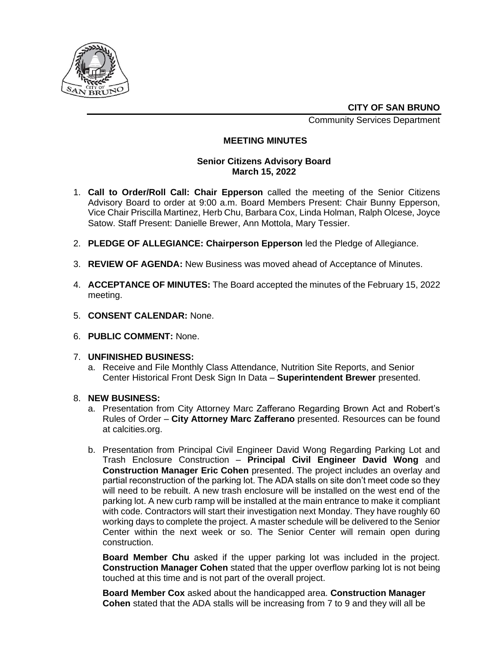

**CITY OF SAN BRUNO**

Community Services Department

## **MEETING MINUTES**

## **Senior Citizens Advisory Board March 15, 2022**

- 1. **Call to Order/Roll Call: Chair Epperson** called the meeting of the Senior Citizens Advisory Board to order at 9:00 a.m. Board Members Present: Chair Bunny Epperson, Vice Chair Priscilla Martinez, Herb Chu, Barbara Cox, Linda Holman, Ralph Olcese, Joyce Satow. Staff Present: Danielle Brewer, Ann Mottola, Mary Tessier.
- 2. **PLEDGE OF ALLEGIANCE: Chairperson Epperson** led the Pledge of Allegiance.
- 3. **REVIEW OF AGENDA:** New Business was moved ahead of Acceptance of Minutes.
- 4. **ACCEPTANCE OF MINUTES:** The Board accepted the minutes of the February 15, 2022 meeting.
- 5. **CONSENT CALENDAR:** None.
- 6. **PUBLIC COMMENT:** None.
- 7. **UNFINISHED BUSINESS:**
	- a. Receive and File Monthly Class Attendance, Nutrition Site Reports, and Senior Center Historical Front Desk Sign In Data – **Superintendent Brewer** presented.
- 8. **NEW BUSINESS:**
	- a. Presentation from City Attorney Marc Zafferano Regarding Brown Act and Robert's Rules of Order – **City Attorney Marc Zafferano** presented. Resources can be found at calcities.org.
	- b. Presentation from Principal Civil Engineer David Wong Regarding Parking Lot and Trash Enclosure Construction – **Principal Civil Engineer David Wong** and **Construction Manager Eric Cohen** presented. The project includes an overlay and partial reconstruction of the parking lot. The ADA stalls on site don't meet code so they will need to be rebuilt. A new trash enclosure will be installed on the west end of the parking lot. A new curb ramp will be installed at the main entrance to make it compliant with code. Contractors will start their investigation next Monday. They have roughly 60 working days to complete the project. A master schedule will be delivered to the Senior Center within the next week or so. The Senior Center will remain open during construction.

**Board Member Chu** asked if the upper parking lot was included in the project. **Construction Manager Cohen** stated that the upper overflow parking lot is not being touched at this time and is not part of the overall project.

**Board Member Cox** asked about the handicapped area. **Construction Manager Cohen** stated that the ADA stalls will be increasing from 7 to 9 and they will all be